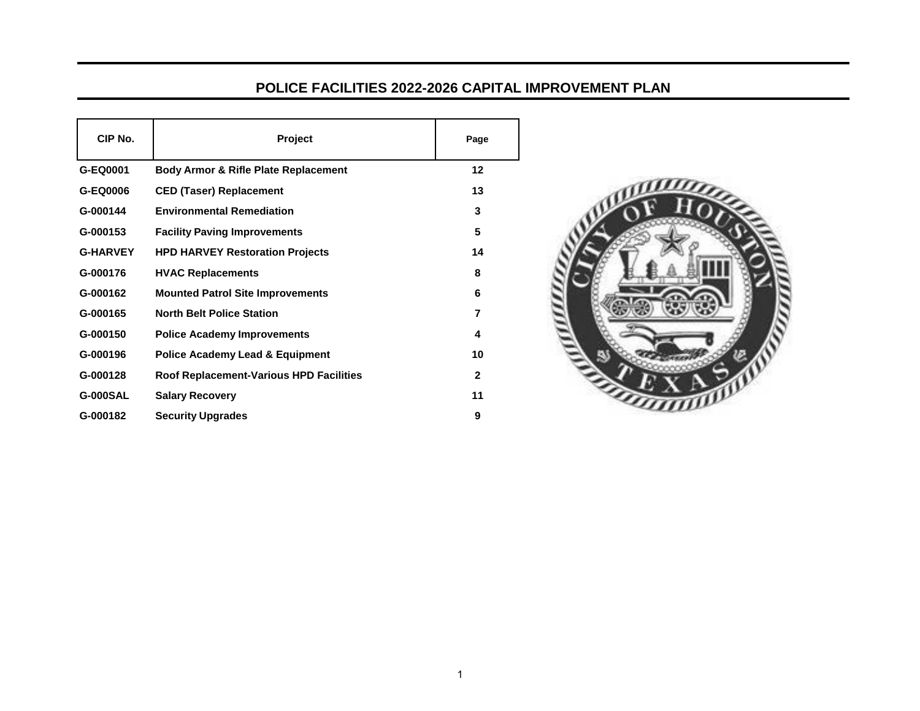## **POLICE FACILITIES 2022-2026 CAPITAL IMPROVEMENT PLAN**

| CIP No.         | <b>Project</b>                                  | Page         |
|-----------------|-------------------------------------------------|--------------|
| G-EQ0001        | <b>Body Armor &amp; Rifle Plate Replacement</b> | $12 \,$      |
| G-EQ0006        | <b>CED (Taser) Replacement</b>                  | 13           |
| G-000144        | <b>Environmental Remediation</b>                | 3            |
| G-000153        | <b>Facility Paving Improvements</b>             | 5            |
| <b>G-HARVEY</b> | <b>HPD HARVEY Restoration Projects</b>          | 14           |
| G-000176        | <b>HVAC Replacements</b>                        | 8            |
| G-000162        | <b>Mounted Patrol Site Improvements</b>         | 6            |
| G-000165        | <b>North Belt Police Station</b>                | 7            |
| G-000150        | <b>Police Academy Improvements</b>              | 4            |
| G-000196        | <b>Police Academy Lead &amp; Equipment</b>      | 10           |
| G-000128        | <b>Roof Replacement-Various HPD Facilities</b>  | $\mathbf{2}$ |
| <b>G-000SAL</b> | <b>Salary Recovery</b>                          | 11           |
| G-000182        | <b>Security Upgrades</b>                        | 9            |

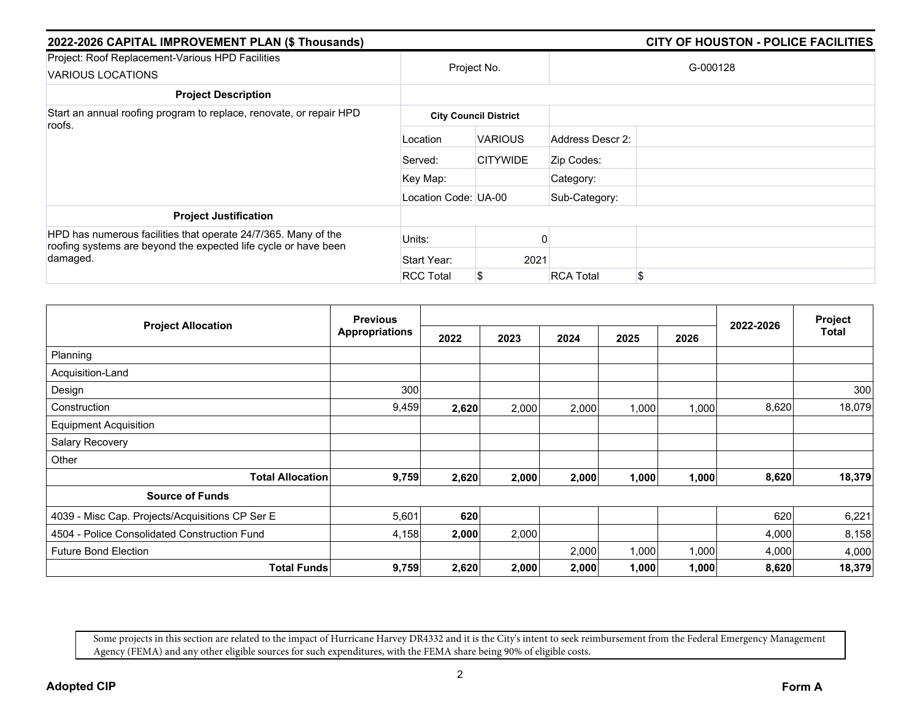| 2022-2026 CAPITAL IMPROVEMENT PLAN (\$ Thousands)                                                                                 | CITY OF HOUSTON - POLICE FACILITIES |                              |                  |          |
|-----------------------------------------------------------------------------------------------------------------------------------|-------------------------------------|------------------------------|------------------|----------|
| Project: Roof Replacement-Various HPD Facilities<br><b>VARIOUS LOCATIONS</b>                                                      |                                     | Project No.                  |                  | G-000128 |
| <b>Project Description</b>                                                                                                        |                                     |                              |                  |          |
| Start an annual roofing program to replace, renovate, or repair HPD                                                               |                                     | <b>City Council District</b> |                  |          |
| roofs.                                                                                                                            | Location                            | <b>VARIOUS</b>               | Address Descr 2: |          |
|                                                                                                                                   | Served:                             | <b>CITYWIDE</b>              | Zip Codes:       |          |
|                                                                                                                                   | Key Map:                            |                              | Category:        |          |
|                                                                                                                                   | Location Code: UA-00                |                              | Sub-Category:    |          |
| <b>Project Justification</b>                                                                                                      |                                     |                              |                  |          |
| HPD has numerous facilities that operate 24/7/365. Many of the<br>roofing systems are beyond the expected life cycle or have been | Units:                              |                              |                  |          |
| damaged.                                                                                                                          | Start Year:                         | 2021                         |                  |          |
|                                                                                                                                   | <b>RCC Total</b>                    | \$                           | <b>RCA Total</b> | \$       |

|                                                 | <b>Previous</b>       |       |       |       |       |       |           | Project<br>Total |
|-------------------------------------------------|-----------------------|-------|-------|-------|-------|-------|-----------|------------------|
| <b>Project Allocation</b>                       | <b>Appropriations</b> | 2022  | 2023  | 2024  | 2025  | 2026  | 2022-2026 |                  |
| Planning                                        |                       |       |       |       |       |       |           |                  |
| Acquisition-Land                                |                       |       |       |       |       |       |           |                  |
| Design                                          | 300                   |       |       |       |       |       |           | 300              |
| Construction                                    | 9,459                 | 2,620 | 2,000 | 2,000 | 1,000 | 1,000 | 8,620     | 18,079           |
| <b>Equipment Acquisition</b>                    |                       |       |       |       |       |       |           |                  |
| Salary Recovery                                 |                       |       |       |       |       |       |           |                  |
| Other                                           |                       |       |       |       |       |       |           |                  |
| <b>Total Allocation</b>                         | 9,759                 | 2,620 | 2,000 | 2,000 | 1,000 | 1,000 | 8,620     | 18,379           |
| <b>Source of Funds</b>                          |                       |       |       |       |       |       |           |                  |
| 4039 - Misc Cap. Projects/Acquisitions CP Ser E | 5,601                 | 620   |       |       |       |       | 620       | 6,221            |
| 4504 - Police Consolidated Construction Fund    | 4,158                 | 2,000 | 2,000 |       |       |       | 4,000     | 8,158            |
| <b>Future Bond Election</b>                     |                       |       |       | 2,000 | 1,000 | 1,000 | 4,000     | 4,000            |
| <b>Total Funds</b>                              | 9,759                 | 2,620 | 2,000 | 2,000 | 1,000 | 1,000 | 8,620     | 18,379           |

Some projects in this section are related to the impact of Hurricane Harvey DR4332 and it is the City's intent to seek reimbursement from the Federal Emergency Management Agency (FEMA) and any other eligible sources for such expenditures, with the FEMA share being 90% of eligible costs.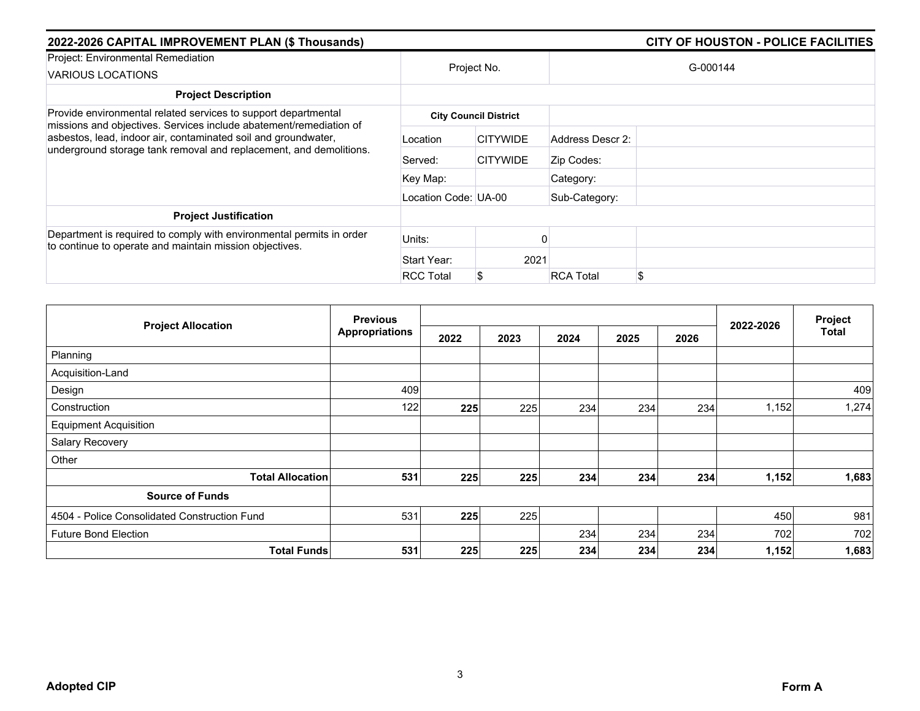| 2022-2026 CAPITAL IMPROVEMENT PLAN (\$ Thousands)                                                                                    | CITY OF HOUSTON - POLICE FACILITIES |                              |                  |          |
|--------------------------------------------------------------------------------------------------------------------------------------|-------------------------------------|------------------------------|------------------|----------|
| Project: Environmental Remediation<br>VARIOUS LOCATIONS                                                                              |                                     | Project No.                  |                  | G-000144 |
| <b>Project Description</b>                                                                                                           |                                     |                              |                  |          |
| Provide environmental related services to support departmental                                                                       |                                     | <b>City Council District</b> |                  |          |
| missions and objectives. Services include abatement/remediation of<br>asbestos, lead, indoor air, contaminated soil and groundwater, | Location                            | <b>CITYWIDE</b>              | Address Descr 2: |          |
| underground storage tank removal and replacement, and demolitions.                                                                   | Served:                             | <b>CITYWIDE</b>              | Zip Codes:       |          |
|                                                                                                                                      | Key Map:                            |                              | Category:        |          |
|                                                                                                                                      | Location Code: UA-00                |                              | Sub-Category:    |          |
| <b>Project Justification</b>                                                                                                         |                                     |                              |                  |          |
| Department is required to comply with environmental permits in order<br>to continue to operate and maintain mission objectives.      | Units:                              |                              |                  |          |
|                                                                                                                                      | Start Year:                         | 2021                         |                  |          |
|                                                                                                                                      | <b>RCC Total</b>                    |                              | <b>RCA Total</b> | \$       |

|                                              | <b>Previous</b>       |      |      |      |      |      |           | Project      |
|----------------------------------------------|-----------------------|------|------|------|------|------|-----------|--------------|
| <b>Project Allocation</b>                    | <b>Appropriations</b> | 2022 | 2023 | 2024 | 2025 | 2026 | 2022-2026 | <b>Total</b> |
| Planning                                     |                       |      |      |      |      |      |           |              |
| Acquisition-Land                             |                       |      |      |      |      |      |           |              |
| Design                                       | 409                   |      |      |      |      |      |           | 409          |
| Construction                                 | 122                   | 225  | 225  | 234  | 234  | 234  | 1,152     | 1,274        |
| <b>Equipment Acquisition</b>                 |                       |      |      |      |      |      |           |              |
| Salary Recovery                              |                       |      |      |      |      |      |           |              |
| Other                                        |                       |      |      |      |      |      |           |              |
| <b>Total Allocation</b>                      | 531                   | 225  | 225  | 234  | 234  | 234  | 1,152     | 1,683        |
| <b>Source of Funds</b>                       |                       |      |      |      |      |      |           |              |
| 4504 - Police Consolidated Construction Fund | 531                   | 225  | 225  |      |      |      | 450       | 981          |
| <b>Future Bond Election</b>                  |                       |      |      | 234  | 234  | 234  | 702       | 702          |
| <b>Total Funds</b>                           | 531                   | 225  | 225  | 234  | 234  | 234  | 1,152     | 1,683        |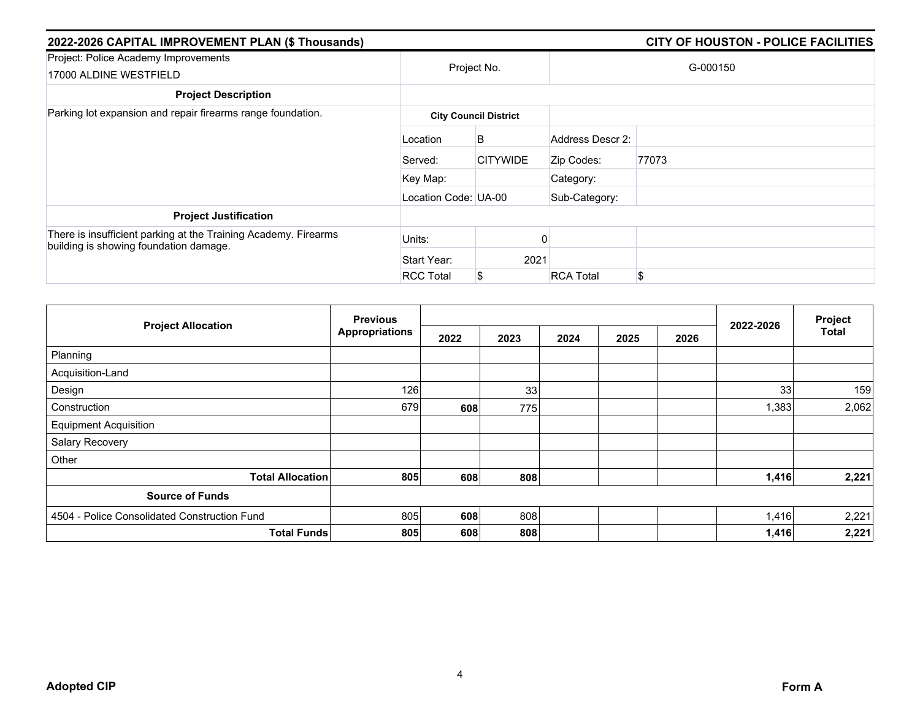| 2022-2026 CAPITAL IMPROVEMENT PLAN (\$ Thousands)                                                         |                      | CITY OF HOUSTON - POLICE FACILITIES |                  |       |  |  |
|-----------------------------------------------------------------------------------------------------------|----------------------|-------------------------------------|------------------|-------|--|--|
| Project: Police Academy Improvements<br>17000 ALDINE WESTFIELD                                            |                      | Project No.                         | G-000150         |       |  |  |
| <b>Project Description</b>                                                                                |                      |                                     |                  |       |  |  |
| Parking lot expansion and repair firearms range foundation.                                               |                      | <b>City Council District</b>        |                  |       |  |  |
|                                                                                                           | Location             | B                                   | Address Descr 2: |       |  |  |
|                                                                                                           | Served:              | <b>CITYWIDE</b>                     | Zip Codes:       | 77073 |  |  |
|                                                                                                           | Key Map:             |                                     | Category:        |       |  |  |
|                                                                                                           | Location Code: UA-00 |                                     | Sub-Category:    |       |  |  |
| <b>Project Justification</b>                                                                              |                      |                                     |                  |       |  |  |
| There is insufficient parking at the Training Academy. Firearms<br>building is showing foundation damage. | Units:               |                                     |                  |       |  |  |
|                                                                                                           | Start Year:          | 2021                                |                  |       |  |  |
|                                                                                                           | <b>RCC Total</b>     | S                                   | <b>RCA Total</b> | \$    |  |  |

|                                              | <b>Previous</b>       |      |      |      |      |      |           | Project      |
|----------------------------------------------|-----------------------|------|------|------|------|------|-----------|--------------|
| <b>Project Allocation</b>                    | <b>Appropriations</b> | 2022 | 2023 | 2024 | 2025 | 2026 | 2022-2026 | <b>Total</b> |
| Planning                                     |                       |      |      |      |      |      |           |              |
| Acquisition-Land                             |                       |      |      |      |      |      |           |              |
| Design                                       | 126                   |      | 33   |      |      |      | 33        | 159          |
| Construction                                 | 679                   | 608  | 775  |      |      |      | 1,383     | 2,062        |
| <b>Equipment Acquisition</b>                 |                       |      |      |      |      |      |           |              |
| Salary Recovery                              |                       |      |      |      |      |      |           |              |
| Other                                        |                       |      |      |      |      |      |           |              |
| <b>Total Allocation</b>                      | 805                   | 608  | 808  |      |      |      | 1,416     | 2,221        |
| <b>Source of Funds</b>                       |                       |      |      |      |      |      |           |              |
| 4504 - Police Consolidated Construction Fund | 805                   | 608  | 808  |      |      |      | 1,416     | 2,221        |
| <b>Total Funds</b>                           | 805                   | 608  | 808  |      |      |      | 1,416     | 2,221        |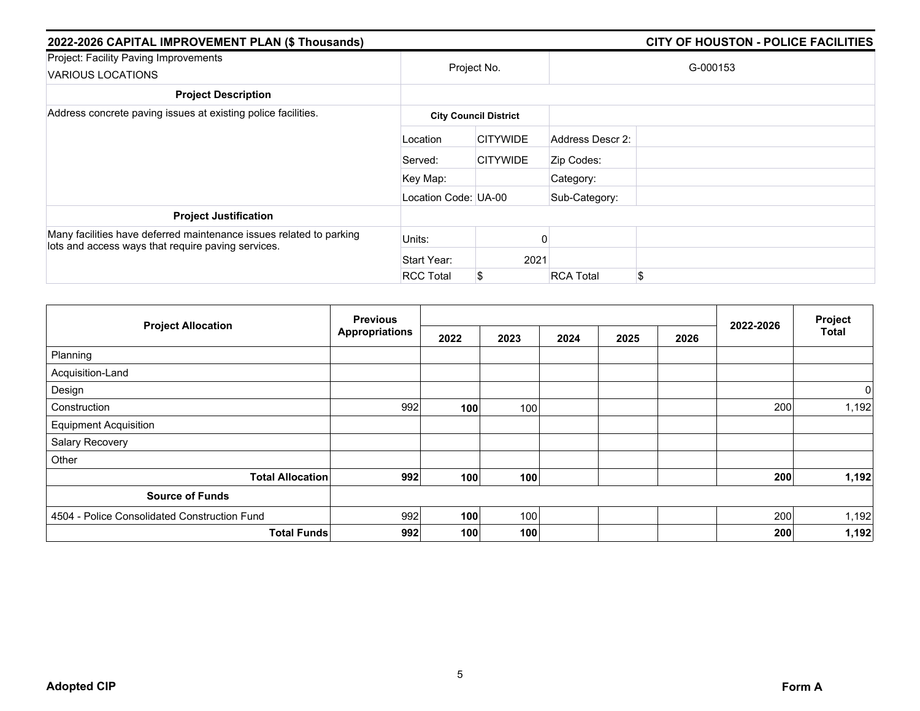| 2022-2026 CAPITAL IMPROVEMENT PLAN (\$ Thousands)                                                                         | <b>CITY OF HOUSTON - POLICE FACILITIES</b> |                              |                  |          |  |  |
|---------------------------------------------------------------------------------------------------------------------------|--------------------------------------------|------------------------------|------------------|----------|--|--|
| Project: Facility Paving Improvements<br>VARIOUS LOCATIONS                                                                |                                            | Project No.                  |                  | G-000153 |  |  |
| <b>Project Description</b>                                                                                                |                                            |                              |                  |          |  |  |
| Address concrete paving issues at existing police facilities.                                                             |                                            | <b>City Council District</b> |                  |          |  |  |
|                                                                                                                           | Location                                   | <b>CITYWIDE</b>              | Address Descr 2: |          |  |  |
|                                                                                                                           | Served:                                    | <b>CITYWIDE</b>              | Zip Codes:       |          |  |  |
|                                                                                                                           | Key Map:                                   |                              | Category:        |          |  |  |
|                                                                                                                           | Location Code: UA-00                       |                              | Sub-Category:    |          |  |  |
| <b>Project Justification</b>                                                                                              |                                            |                              |                  |          |  |  |
| Many facilities have deferred maintenance issues related to parking<br>lots and access ways that require paving services. | Units:                                     |                              |                  |          |  |  |
|                                                                                                                           | Start Year:                                | 2021                         |                  |          |  |  |
|                                                                                                                           | <b>RCC Total</b>                           | \$                           | <b>RCA Total</b> | \$       |  |  |

|                                              | <b>Previous</b>           |      |      |      |      |      |           | Project      |
|----------------------------------------------|---------------------------|------|------|------|------|------|-----------|--------------|
| <b>Project Allocation</b>                    | <b>Appropriations</b>     | 2022 | 2023 | 2024 | 2025 | 2026 | 2022-2026 | <b>Total</b> |
| Planning                                     |                           |      |      |      |      |      |           |              |
| Acquisition-Land                             |                           |      |      |      |      |      |           |              |
| Design                                       |                           |      |      |      |      |      |           | 0            |
| Construction                                 | 992                       | 100  | 100  |      |      |      | 200       | 1,192        |
| <b>Equipment Acquisition</b>                 |                           |      |      |      |      |      |           |              |
| Salary Recovery                              |                           |      |      |      |      |      |           |              |
| Other                                        |                           |      |      |      |      |      |           |              |
| <b>Total Allocation</b>                      | 992                       | 100  | 100  |      |      |      | 200       | 1,192        |
| <b>Source of Funds</b>                       |                           |      |      |      |      |      |           |              |
| 4504 - Police Consolidated Construction Fund | 992                       | 100  | 100  |      |      |      | 200       | 1,192        |
|                                              | 992<br><b>Total Funds</b> | 100  | 100  |      |      |      | 200       | 1,192        |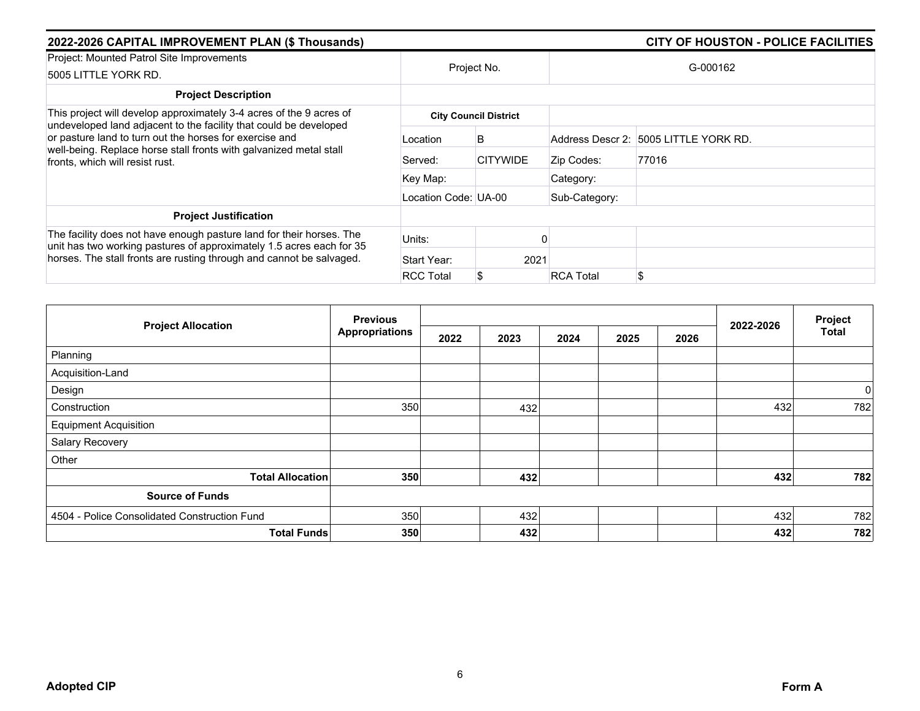| 2022-2026 CAPITAL IMPROVEMENT PLAN (\$ Thousands)                                                                                            |                      |                              |                  | <b>CITY OF HOUSTON - POLICE FACILITIES</b> |  |
|----------------------------------------------------------------------------------------------------------------------------------------------|----------------------|------------------------------|------------------|--------------------------------------------|--|
| Project: Mounted Patrol Site Improvements<br>5005 LITTLE YORK RD.                                                                            | Project No.          |                              | G-000162         |                                            |  |
| <b>Project Description</b>                                                                                                                   |                      |                              |                  |                                            |  |
| This project will develop approximately 3-4 acres of the 9 acres of                                                                          |                      | <b>City Council District</b> |                  |                                            |  |
| undeveloped land adjacent to the facility that could be developed<br>or pasture land to turn out the horses for exercise and                 | Location             | B                            |                  | Address Descr 2: 5005 LITTLE YORK RD.      |  |
| well-being. Replace horse stall fronts with galvanized metal stall<br>fronts, which will resist rust.                                        | Served:              | <b>CITYWIDE</b>              | Zip Codes:       | 77016                                      |  |
|                                                                                                                                              | Key Map:             |                              | Category:        |                                            |  |
|                                                                                                                                              | Location Code: UA-00 |                              | Sub-Category:    |                                            |  |
| <b>Project Justification</b>                                                                                                                 |                      |                              |                  |                                            |  |
| The facility does not have enough pasture land for their horses. The<br>unit has two working pastures of approximately 1.5 acres each for 35 | Units:               |                              |                  |                                            |  |
| horses. The stall fronts are rusting through and cannot be salvaged.                                                                         | Start Year:          | 2021                         |                  |                                            |  |
|                                                                                                                                              | <b>RCC Total</b>     | S                            | <b>RCA Total</b> |                                            |  |

|                                              | <b>Previous</b>       |      |      |      |      |      |           | Project      |
|----------------------------------------------|-----------------------|------|------|------|------|------|-----------|--------------|
| <b>Project Allocation</b>                    | <b>Appropriations</b> | 2022 | 2023 | 2024 | 2025 | 2026 | 2022-2026 | <b>Total</b> |
| Planning                                     |                       |      |      |      |      |      |           |              |
| Acquisition-Land                             |                       |      |      |      |      |      |           |              |
| Design                                       |                       |      |      |      |      |      |           | $\pmb{0}$    |
| Construction                                 | 350                   |      | 432  |      |      |      | 432       | 782          |
| <b>Equipment Acquisition</b>                 |                       |      |      |      |      |      |           |              |
| Salary Recovery                              |                       |      |      |      |      |      |           |              |
| Other                                        |                       |      |      |      |      |      |           |              |
| <b>Total Allocation</b>                      | 350                   |      | 432  |      |      |      | 432       | 782          |
| <b>Source of Funds</b>                       |                       |      |      |      |      |      |           |              |
| 4504 - Police Consolidated Construction Fund | 350                   |      | 432  |      |      |      | 432       | 782          |
| <b>Total Funds</b>                           | 350                   |      | 432  |      |      |      | 432       | 782          |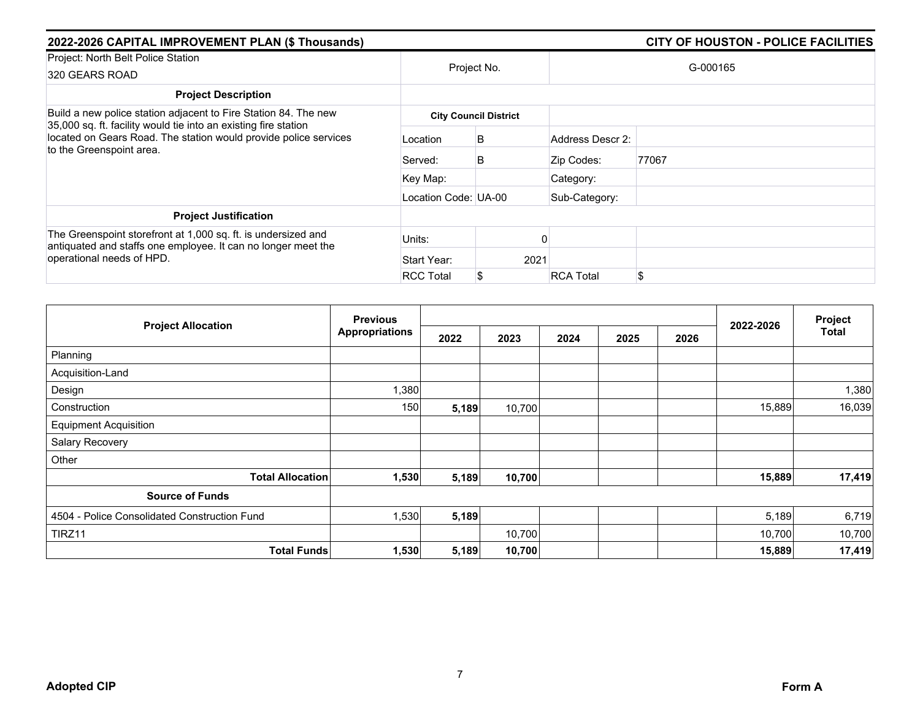| 2022-2026 CAPITAL IMPROVEMENT PLAN (\$ Thousands)                                                                                                                                                      |                      | CITY OF HOUSTON - POLICE FACILITIES |                  |          |
|--------------------------------------------------------------------------------------------------------------------------------------------------------------------------------------------------------|----------------------|-------------------------------------|------------------|----------|
| Project: North Belt Police Station<br>320 GEARS ROAD                                                                                                                                                   |                      | Project No.                         |                  | G-000165 |
| <b>Project Description</b>                                                                                                                                                                             |                      |                                     |                  |          |
| Build a new police station adjacent to Fire Station 84. The new<br>35,000 sq. ft. facility would tie into an existing fire station<br>located on Gears Road. The station would provide police services |                      | <b>City Council District</b>        |                  |          |
|                                                                                                                                                                                                        | Location             | B                                   | Address Descr 2: |          |
| to the Greenspoint area.                                                                                                                                                                               | Served:              | В                                   | Zip Codes:       | 77067    |
|                                                                                                                                                                                                        | Key Map:             |                                     | Category:        |          |
|                                                                                                                                                                                                        | Location Code: UA-00 |                                     | Sub-Category:    |          |
| <b>Project Justification</b>                                                                                                                                                                           |                      |                                     |                  |          |
| The Greenspoint storefront at 1,000 sq. ft. is undersized and<br>antiquated and staffs one employee. It can no longer meet the                                                                         | Units:               |                                     |                  |          |
| operational needs of HPD.                                                                                                                                                                              | Start Year:          | 2021                                |                  |          |
|                                                                                                                                                                                                        | <b>RCC Total</b>     |                                     | <b>RCA Total</b> | \$       |

| <b>Previous</b>                              |                                  |       |        |      |      |      |           | Project |
|----------------------------------------------|----------------------------------|-------|--------|------|------|------|-----------|---------|
| <b>Project Allocation</b>                    | <b>Appropriations</b>            | 2022  | 2023   | 2024 | 2025 | 2026 | 2022-2026 | Total   |
| Planning                                     |                                  |       |        |      |      |      |           |         |
| Acquisition-Land                             |                                  |       |        |      |      |      |           |         |
| Design                                       | 1,380                            |       |        |      |      |      |           | 1,380   |
| Construction                                 | 150                              | 5,189 | 10,700 |      |      |      | 15,889    | 16,039  |
| <b>Equipment Acquisition</b>                 |                                  |       |        |      |      |      |           |         |
| Salary Recovery                              |                                  |       |        |      |      |      |           |         |
| Other                                        |                                  |       |        |      |      |      |           |         |
|                                              | <b>Total Allocation</b><br>1,530 | 5,189 | 10,700 |      |      |      | 15,889    | 17,419  |
| <b>Source of Funds</b>                       |                                  |       |        |      |      |      |           |         |
| 4504 - Police Consolidated Construction Fund | 1,530                            | 5,189 |        |      |      |      | 5,189     | 6,719   |
| TIRZ11                                       |                                  |       | 10,700 |      |      |      | 10,700    | 10,700  |
|                                              | <b>Total Funds</b><br>1,530      | 5,189 | 10,700 |      |      |      | 15,889    | 17,419  |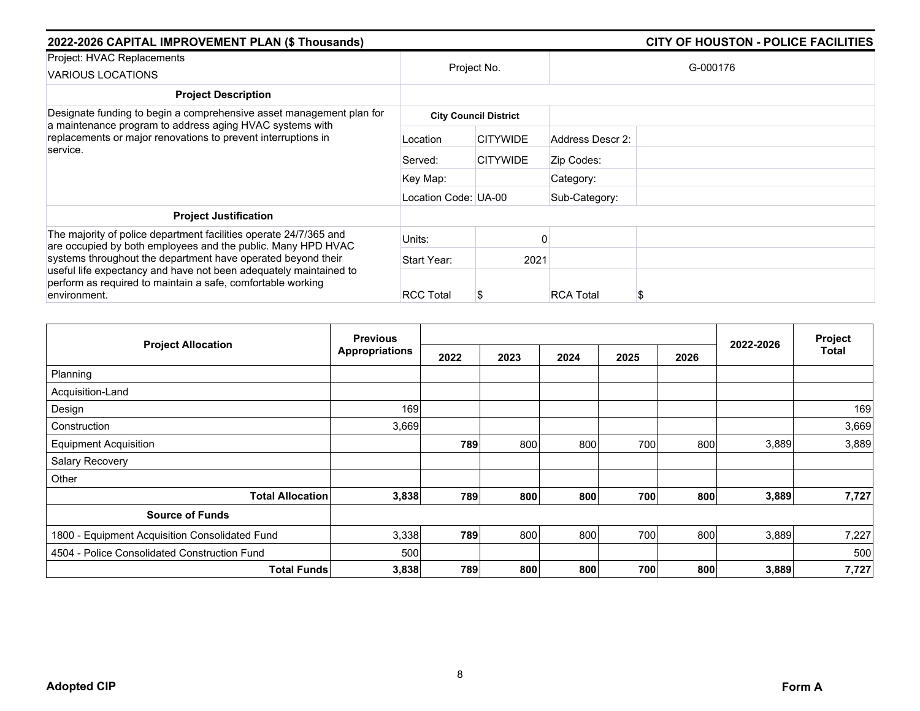| 2022-2026 CAPITAL IMPROVEMENT PLAN (\$ Thousands)                                                                                                                                                             | <b>CITY OF HOUSTON - POLICE FACILITIES</b> |                              |                  |          |
|---------------------------------------------------------------------------------------------------------------------------------------------------------------------------------------------------------------|--------------------------------------------|------------------------------|------------------|----------|
| Project: HVAC Replacements<br>VARIOUS LOCATIONS                                                                                                                                                               |                                            | Project No.                  |                  | G-000176 |
| <b>Project Description</b>                                                                                                                                                                                    |                                            |                              |                  |          |
| Designate funding to begin a comprehensive asset management plan for<br>a maintenance program to address aging HVAC systems with<br>replacements or major renovations to prevent interruptions in<br>service. |                                            | <b>City Council District</b> |                  |          |
|                                                                                                                                                                                                               | Location                                   | <b>CITYWIDE</b>              | Address Descr 2: |          |
|                                                                                                                                                                                                               | Served:                                    | <b>CITYWIDE</b>              | Zip Codes:       |          |
|                                                                                                                                                                                                               | Key Map:                                   |                              | Category:        |          |
|                                                                                                                                                                                                               | Location Code: UA-00                       |                              | Sub-Category:    |          |
| <b>Project Justification</b>                                                                                                                                                                                  |                                            |                              |                  |          |
| The majority of police department facilities operate 24/7/365 and<br>are occupied by both employees and the public. Many HPD HVAC                                                                             | Units:                                     |                              |                  |          |
| systems throughout the department have operated beyond their                                                                                                                                                  | Start Year:                                | 2021                         |                  |          |
| useful life expectancy and have not been adequately maintained to<br>perform as required to maintain a safe, comfortable working<br>environment.                                                              | <b>RCC Total</b>                           | S                            | <b>RCA Total</b> |          |

|                                                | <b>Previous</b>       |      |      |      |      |      | 2022-2026 | Project      |
|------------------------------------------------|-----------------------|------|------|------|------|------|-----------|--------------|
| <b>Project Allocation</b>                      | <b>Appropriations</b> | 2022 | 2023 | 2024 | 2025 | 2026 |           | <b>Total</b> |
| Planning                                       |                       |      |      |      |      |      |           |              |
| Acquisition-Land                               |                       |      |      |      |      |      |           |              |
| Design                                         | 169                   |      |      |      |      |      |           | 169          |
| Construction                                   | 3,669                 |      |      |      |      |      |           | 3,669        |
| <b>Equipment Acquisition</b>                   |                       | 789  | 800  | 800  | 700  | 800  | 3,889     | 3,889        |
| Salary Recovery                                |                       |      |      |      |      |      |           |              |
| Other                                          |                       |      |      |      |      |      |           |              |
| <b>Total Allocation</b>                        | 3,838                 | 789  | 800  | 800  | 700  | 800  | 3,889     | 7,727        |
| <b>Source of Funds</b>                         |                       |      |      |      |      |      |           |              |
| 1800 - Equipment Acquisition Consolidated Fund | 3,338                 | 789  | 800  | 800  | 700  | 800  | 3,889     | 7,227        |
| 4504 - Police Consolidated Construction Fund   | 500                   |      |      |      |      |      |           | 500          |
| <b>Total Funds</b>                             | 3,838                 | 789  | 800  | 800  | 700  | 800  | 3,889     | 7,727        |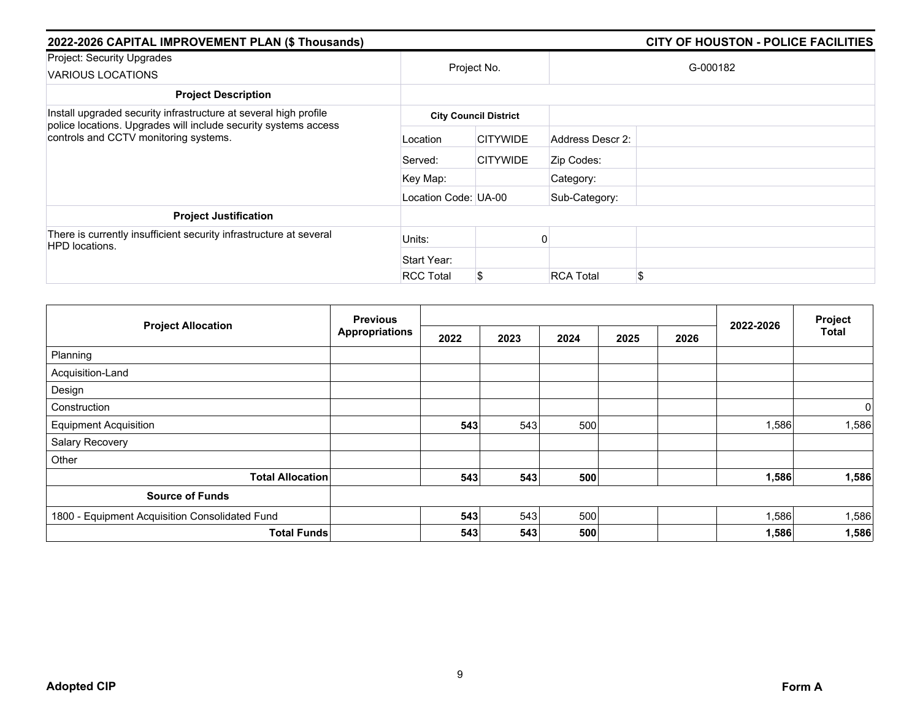| 2022-2026 CAPITAL IMPROVEMENT PLAN (\$ Thousands)                                                                                                                            | CITY OF HOUSTON - POLICE FACILITIES |                              |                  |          |
|------------------------------------------------------------------------------------------------------------------------------------------------------------------------------|-------------------------------------|------------------------------|------------------|----------|
| Project: Security Upgrades<br>VARIOUS LOCATIONS                                                                                                                              |                                     | Project No.                  |                  | G-000182 |
| <b>Project Description</b>                                                                                                                                                   |                                     |                              |                  |          |
| Install upgraded security infrastructure at several high profile<br>police locations. Upgrades will include security systems access<br>controls and CCTV monitoring systems. |                                     | <b>City Council District</b> |                  |          |
|                                                                                                                                                                              | Location                            | <b>CITYWIDE</b>              | Address Descr 2: |          |
|                                                                                                                                                                              | Served:                             | <b>CITYWIDE</b>              | Zip Codes:       |          |
|                                                                                                                                                                              | Key Map:                            |                              | Category:        |          |
|                                                                                                                                                                              | Location Code: UA-00                |                              | Sub-Category:    |          |
| <b>Project Justification</b>                                                                                                                                                 |                                     |                              |                  |          |
| There is currently insufficient security infrastructure at several<br><b>HPD</b> locations.                                                                                  | Units:                              |                              |                  |          |
|                                                                                                                                                                              | Start Year:                         |                              |                  |          |
|                                                                                                                                                                              | <b>RCC Total</b>                    |                              | <b>RCA Total</b> | \$       |

|                                                | <b>Previous</b>       |      |      |      |      | Project |           |                |
|------------------------------------------------|-----------------------|------|------|------|------|---------|-----------|----------------|
| <b>Project Allocation</b>                      | <b>Appropriations</b> | 2022 | 2023 | 2024 | 2025 | 2026    | 2022-2026 | Total          |
| Planning                                       |                       |      |      |      |      |         |           |                |
| Acquisition-Land                               |                       |      |      |      |      |         |           |                |
| Design                                         |                       |      |      |      |      |         |           |                |
| Construction                                   |                       |      |      |      |      |         |           | $\overline{0}$ |
| <b>Equipment Acquisition</b>                   |                       | 543  | 543  | 500  |      |         | 1,586     | 1,586          |
| Salary Recovery                                |                       |      |      |      |      |         |           |                |
| Other                                          |                       |      |      |      |      |         |           |                |
| <b>Total Allocation</b>                        |                       | 543  | 543  | 500  |      |         | 1,586     | 1,586          |
| <b>Source of Funds</b>                         |                       |      |      |      |      |         |           |                |
| 1800 - Equipment Acquisition Consolidated Fund |                       | 543  | 543  | 500  |      |         | 1,586     | 1,586          |
| <b>Total Funds</b>                             |                       | 543  | 543  | 500  |      |         | 1,586     | 1,586          |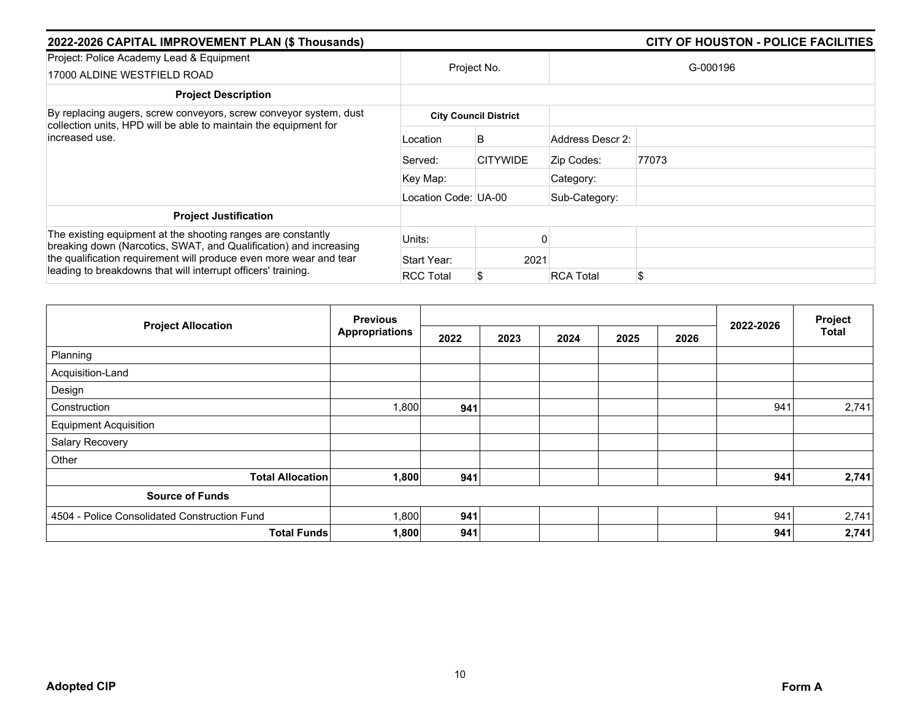| 2022-2026 CAPITAL IMPROVEMENT PLAN (\$ Thousands)                                                                                   | CITY OF HOUSTON - POLICE FACILITIES |                              |                  |          |  |  |  |  |
|-------------------------------------------------------------------------------------------------------------------------------------|-------------------------------------|------------------------------|------------------|----------|--|--|--|--|
| Project: Police Academy Lead & Equipment<br>17000 ALDINE WESTFIELD ROAD                                                             |                                     | Project No.                  |                  | G-000196 |  |  |  |  |
| <b>Project Description</b>                                                                                                          |                                     |                              |                  |          |  |  |  |  |
| By replacing augers, screw conveyors, screw conveyor system, dust                                                                   |                                     | <b>City Council District</b> |                  |          |  |  |  |  |
| collection units, HPD will be able to maintain the equipment for<br>increased use.                                                  | Location                            | B                            | Address Descr 2: |          |  |  |  |  |
|                                                                                                                                     | Served:                             | <b>CITYWIDE</b>              | Zip Codes:       | 77073    |  |  |  |  |
|                                                                                                                                     | Key Map:                            |                              | Category:        |          |  |  |  |  |
|                                                                                                                                     | Location Code: UA-00                |                              | Sub-Category:    |          |  |  |  |  |
| <b>Project Justification</b>                                                                                                        |                                     |                              |                  |          |  |  |  |  |
| The existing equipment at the shooting ranges are constantly<br>breaking down (Narcotics, SWAT, and Qualification) and increasing   | Units:                              |                              |                  |          |  |  |  |  |
| the qualification requirement will produce even more wear and tear<br>leading to breakdowns that will interrupt officers' training. | Start Year:                         | 2021                         |                  |          |  |  |  |  |
|                                                                                                                                     | <b>RCC Total</b>                    |                              | <b>RCA Total</b> | \$       |  |  |  |  |

|                                              | <b>Previous</b>       |      |      |      |      | 2022-2026 | Project |              |
|----------------------------------------------|-----------------------|------|------|------|------|-----------|---------|--------------|
| <b>Project Allocation</b>                    | <b>Appropriations</b> | 2022 | 2023 | 2024 | 2025 | 2026      |         | <b>Total</b> |
| Planning                                     |                       |      |      |      |      |           |         |              |
| Acquisition-Land                             |                       |      |      |      |      |           |         |              |
| Design                                       |                       |      |      |      |      |           |         |              |
| Construction                                 | 1,800                 | 941  |      |      |      |           | 941     | 2,741        |
| <b>Equipment Acquisition</b>                 |                       |      |      |      |      |           |         |              |
| Salary Recovery                              |                       |      |      |      |      |           |         |              |
| Other                                        |                       |      |      |      |      |           |         |              |
| <b>Total Allocation</b>                      | 1,800                 | 941  |      |      |      |           | 941     | 2,741        |
| <b>Source of Funds</b>                       |                       |      |      |      |      |           |         |              |
| 4504 - Police Consolidated Construction Fund | 1,800                 | 941  |      |      |      |           | 941     | 2,741        |
| <b>Total Funds</b>                           | 1,800                 | 941  |      |      |      |           | 941     | 2,741        |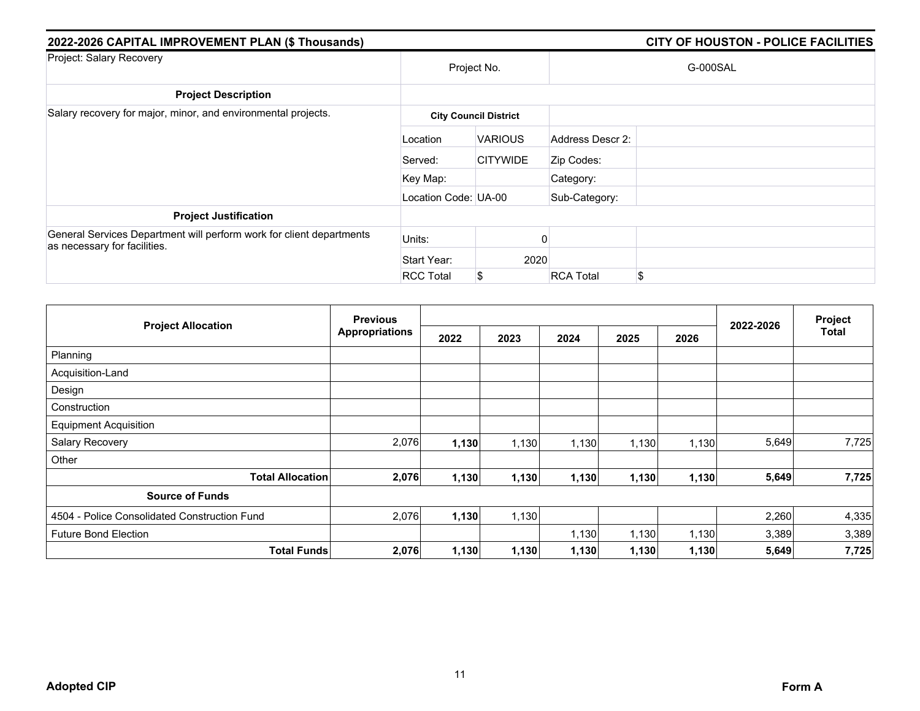| 2022-2026 CAPITAL IMPROVEMENT PLAN (\$ Thousands)                                                    | CITY OF HOUSTON - POLICE FACILITIES |                              |                  |          |
|------------------------------------------------------------------------------------------------------|-------------------------------------|------------------------------|------------------|----------|
| Project: Salary Recovery                                                                             | Project No.                         |                              |                  | G-000SAL |
| <b>Project Description</b>                                                                           |                                     |                              |                  |          |
| Salary recovery for major, minor, and environmental projects.                                        |                                     | <b>City Council District</b> |                  |          |
|                                                                                                      | Location                            | <b>VARIOUS</b>               | Address Descr 2: |          |
|                                                                                                      | Served:                             | <b>CITYWIDE</b>              | Zip Codes:       |          |
|                                                                                                      | Key Map:                            |                              | Category:        |          |
|                                                                                                      | Location Code: UA-00                |                              | Sub-Category:    |          |
| <b>Project Justification</b>                                                                         |                                     |                              |                  |          |
| General Services Department will perform work for client departments<br>as necessary for facilities. | Units:                              |                              |                  |          |
|                                                                                                      | Start Year:                         | 2020                         |                  |          |
|                                                                                                      | <b>RCC Total</b>                    | \$                           | <b>RCA Total</b> | \$       |

|                                              | <b>Previous</b>       |       |       |       |       | Project |           |              |
|----------------------------------------------|-----------------------|-------|-------|-------|-------|---------|-----------|--------------|
| <b>Project Allocation</b>                    | <b>Appropriations</b> | 2022  | 2023  | 2024  | 2025  | 2026    | 2022-2026 | <b>Total</b> |
| Planning                                     |                       |       |       |       |       |         |           |              |
| Acquisition-Land                             |                       |       |       |       |       |         |           |              |
| Design                                       |                       |       |       |       |       |         |           |              |
| Construction                                 |                       |       |       |       |       |         |           |              |
| <b>Equipment Acquisition</b>                 |                       |       |       |       |       |         |           |              |
| Salary Recovery                              | 2,076                 | 1,130 | 1,130 | 1,130 | 1,130 | 1,130   | 5,649     | 7,725        |
| Other                                        |                       |       |       |       |       |         |           |              |
| <b>Total Allocation</b>                      | 2,076                 | 1,130 | 1,130 | 1,130 | 1,130 | 1,130   | 5,649     | 7,725        |
| <b>Source of Funds</b>                       |                       |       |       |       |       |         |           |              |
| 4504 - Police Consolidated Construction Fund | 2,076                 | 1,130 | 1,130 |       |       |         | 2,260     | 4,335        |
| <b>Future Bond Election</b>                  |                       |       |       | 1,130 | 1,130 | 1,130   | 3,389     | 3,389        |
| <b>Total Funds</b>                           | 2,076                 | 1,130 | 1,130 | 1,130 | 1,130 | 1,130   | 5,649     | 7,725        |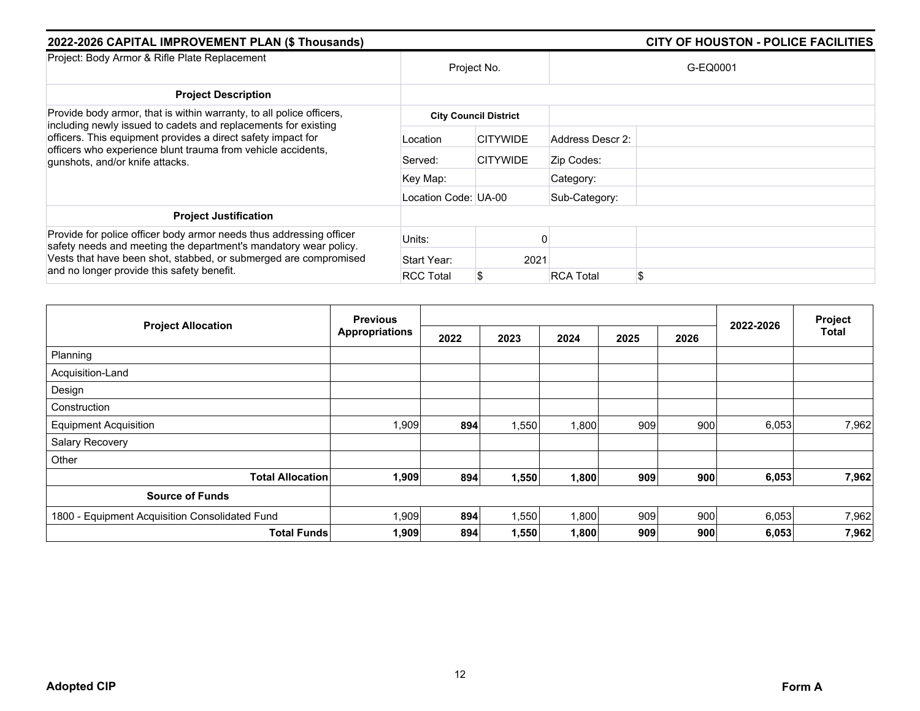| 2022-2026 CAPITAL IMPROVEMENT PLAN (\$ Thousands)                                                                                                                                                      |                      |                              |                  | <b>CITY OF HOUSTON - POLICE FACILITIES</b> |
|--------------------------------------------------------------------------------------------------------------------------------------------------------------------------------------------------------|----------------------|------------------------------|------------------|--------------------------------------------|
| Project: Body Armor & Rifle Plate Replacement                                                                                                                                                          | Project No.          |                              |                  | G-EQ0001                                   |
| <b>Project Description</b>                                                                                                                                                                             |                      |                              |                  |                                            |
| Provide body armor, that is within warranty, to all police officers,<br>including newly issued to cadets and replacements for existing<br>officers. This equipment provides a direct safety impact for |                      | <b>City Council District</b> |                  |                                            |
|                                                                                                                                                                                                        | Location             | <b>CITYWIDE</b>              | Address Descr 2: |                                            |
| officers who experience blunt trauma from vehicle accidents,<br>gunshots, and/or knife attacks.                                                                                                        | Served:              | <b>CITYWIDE</b>              | Zip Codes:       |                                            |
|                                                                                                                                                                                                        | Key Map:             |                              | Category:        |                                            |
|                                                                                                                                                                                                        | Location Code: UA-00 |                              | Sub-Category:    |                                            |
| <b>Project Justification</b>                                                                                                                                                                           |                      |                              |                  |                                            |
| Provide for police officer body armor needs thus addressing officer<br>safety needs and meeting the department's mandatory wear policy.                                                                | Units:               |                              |                  |                                            |
| Vests that have been shot, stabbed, or submerged are compromised<br>and no longer provide this safety benefit.                                                                                         | Start Year:          | 2021                         |                  |                                            |
|                                                                                                                                                                                                        | <b>RCC Total</b>     | S                            | <b>RCA Total</b> | \$                                         |

| <b>Previous</b>                                |                       |      |       |       | 2022-2026 | Project |       |              |
|------------------------------------------------|-----------------------|------|-------|-------|-----------|---------|-------|--------------|
| <b>Project Allocation</b>                      | <b>Appropriations</b> | 2022 | 2023  | 2024  | 2025      | 2026    |       | <b>Total</b> |
| Planning                                       |                       |      |       |       |           |         |       |              |
| Acquisition-Land                               |                       |      |       |       |           |         |       |              |
| Design                                         |                       |      |       |       |           |         |       |              |
| Construction                                   |                       |      |       |       |           |         |       |              |
| <b>Equipment Acquisition</b>                   | 1,909                 | 894  | 1,550 | 1,800 | 909       | 900     | 6,053 | 7,962        |
| Salary Recovery                                |                       |      |       |       |           |         |       |              |
| Other                                          |                       |      |       |       |           |         |       |              |
| <b>Total Allocation</b>                        | 1,909                 | 894  | 1,550 | 1,800 | 909       | 900     | 6,053 | 7,962        |
| <b>Source of Funds</b>                         |                       |      |       |       |           |         |       |              |
| 1800 - Equipment Acquisition Consolidated Fund | 1,909                 | 894  | 1,550 | 1,800 | 909       | 900     | 6,053 | 7,962        |
| <b>Total Funds</b>                             | 1,909                 | 894  | 1,550 | 1,800 | 909       | 900     | 6,053 | 7,962        |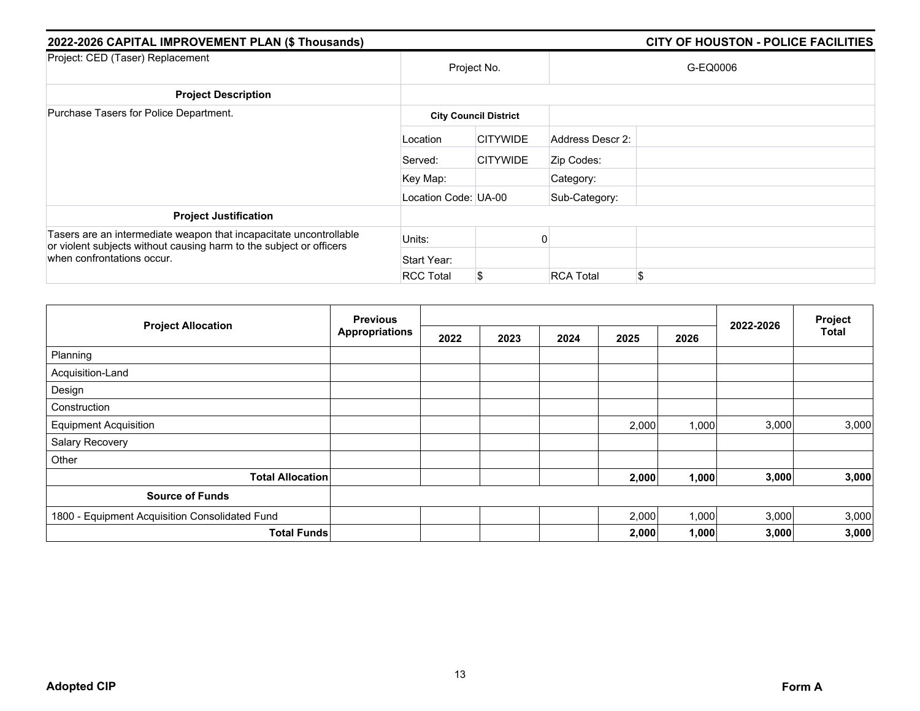| 2022-2026 CAPITAL IMPROVEMENT PLAN (\$ Thousands)                                                                                         | <b>CITY OF HOUSTON - POLICE FACILITIES</b> |                              |                  |          |
|-------------------------------------------------------------------------------------------------------------------------------------------|--------------------------------------------|------------------------------|------------------|----------|
| Project: CED (Taser) Replacement                                                                                                          | Project No.                                |                              |                  | G-EQ0006 |
| <b>Project Description</b>                                                                                                                |                                            |                              |                  |          |
| Purchase Tasers for Police Department.                                                                                                    |                                            | <b>City Council District</b> |                  |          |
|                                                                                                                                           | Location                                   | <b>CITYWIDE</b>              | Address Descr 2: |          |
|                                                                                                                                           | Served:                                    | <b>CITYWIDE</b>              | Zip Codes:       |          |
|                                                                                                                                           | Key Map:                                   |                              | Category:        |          |
|                                                                                                                                           | Location Code: UA-00                       |                              | Sub-Category:    |          |
| <b>Project Justification</b>                                                                                                              |                                            |                              |                  |          |
| Tasers are an intermediate weapon that incapacitate uncontrollable<br>or violent subjects without causing harm to the subject or officers | Units:                                     |                              |                  |          |
| when confrontations occur.                                                                                                                | Start Year:                                |                              |                  |          |
|                                                                                                                                           | <b>RCC Total</b>                           | \$                           | <b>RCA Total</b> | \$       |

| <b>Project Allocation</b>                      | <b>Previous</b><br><b>Appropriations</b> |      |      |      | Project |       |           |              |
|------------------------------------------------|------------------------------------------|------|------|------|---------|-------|-----------|--------------|
|                                                |                                          | 2022 | 2023 | 2024 | 2025    | 2026  | 2022-2026 | <b>Total</b> |
| Planning                                       |                                          |      |      |      |         |       |           |              |
| Acquisition-Land                               |                                          |      |      |      |         |       |           |              |
| Design                                         |                                          |      |      |      |         |       |           |              |
| Construction                                   |                                          |      |      |      |         |       |           |              |
| <b>Equipment Acquisition</b>                   |                                          |      |      |      | 2,000   | 1,000 | 3,000     | 3,000        |
| Salary Recovery                                |                                          |      |      |      |         |       |           |              |
| Other                                          |                                          |      |      |      |         |       |           |              |
| <b>Total Allocation</b>                        |                                          |      |      |      | 2,000   | 1,000 | 3,000     | 3,000        |
| <b>Source of Funds</b>                         |                                          |      |      |      |         |       |           |              |
| 1800 - Equipment Acquisition Consolidated Fund |                                          |      |      |      | 2,000   | 1,000 | 3,000     | 3,000        |
|                                                | <b>Total Funds</b>                       |      |      |      | 2,000   | 1,000 | 3,000     | 3,000        |